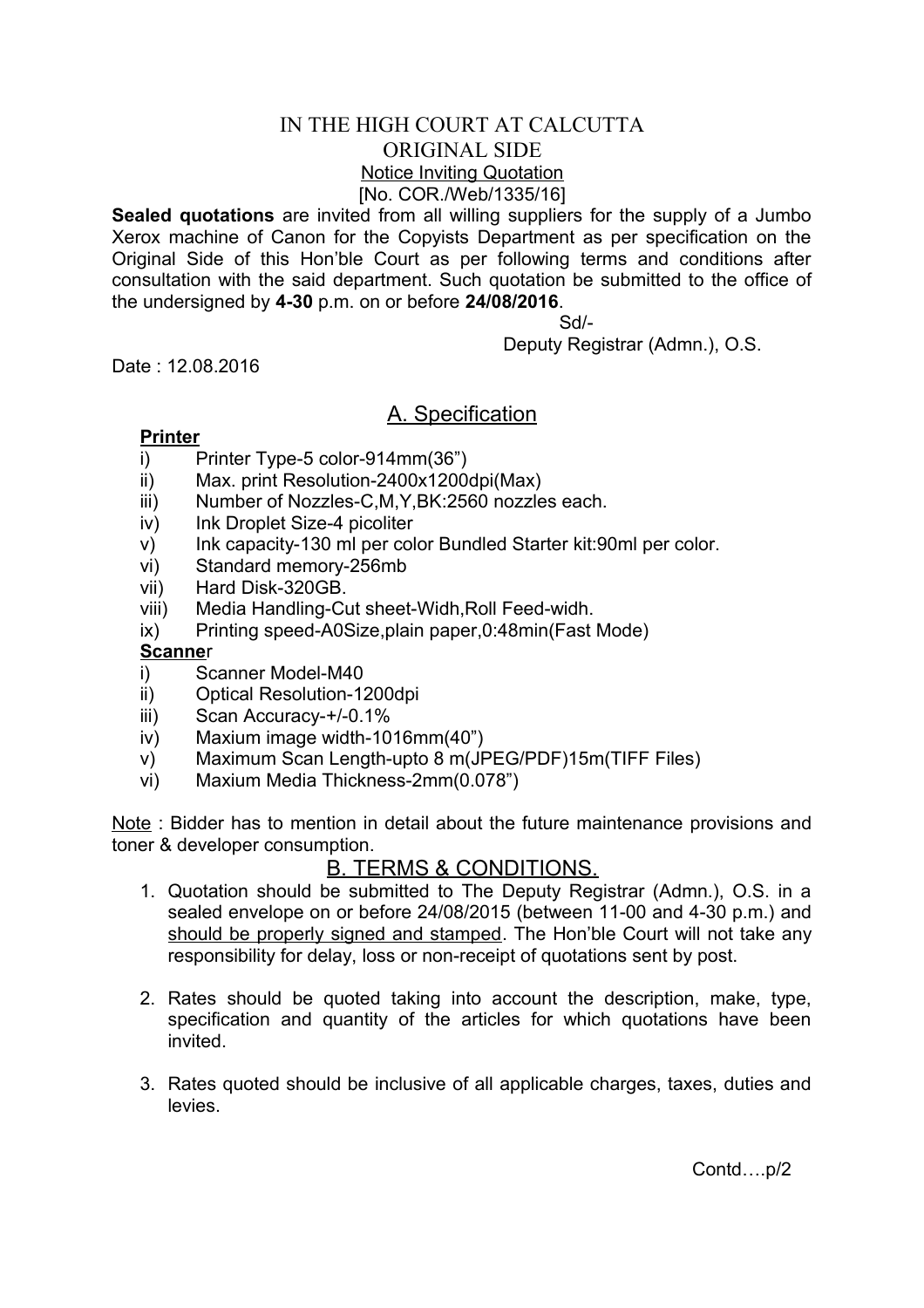# IN THE HIGH COURT AT CALCUTTA ORIGINAL SIDE Notice Inviting Quotation [No. COR./Web/1335/16]

**Sealed quotations** are invited from all willing suppliers for the supply of a Jumbo Xerox machine of Canon for the Copyists Department as per specification on the Original Side of this Hon'ble Court as per following terms and conditions after consultation with the said department. Such quotation be submitted to the office of the undersigned by **4-30** p.m. on or before **24/08/2016**.

## Sd/-

Deputy Registrar (Admn.), O.S.

Date : 12.08.2016

# A. Specification

#### **Printer**

- i) Printer Type-5 color-914mm(36")
- ii) Max. print Resolution-2400x1200dpi(Max)
- iii) Number of Nozzles-C,M,Y,BK:2560 nozzles each.
- iv) Ink Droplet Size-4 picoliter
- v) Ink capacity-130 ml per color Bundled Starter kit:90ml per color.
- vi) Standard memory-256mb
- vii) Hard Disk-320GB.
- viii) Media Handling-Cut sheet-Widh,Roll Feed-widh.
- ix) Printing speed-A0Size,plain paper,0:48min(Fast Mode)

### **Scanne**r

- i) Scanner Model-M40
- ii) Optical Resolution-1200dpi
- iii) Scan Accuracy-+/-0.1%
- iv) Maxium image width-1016mm(40")
- v) Maximum Scan Length-upto 8 m(JPEG/PDF)15m(TIFF Files)
- vi) Maxium Media Thickness-2mm(0.078")

Note : Bidder has to mention in detail about the future maintenance provisions and toner & developer consumption.

## <u>B. TERMS & CONDITIONS.</u>

- 1. Quotation should be submitted to The Deputy Registrar (Admn.), O.S. in a sealed envelope on or before 24/08/2015 (between 11-00 and 4-30 p.m.) and should be properly signed and stamped. The Hon'ble Court will not take any responsibility for delay, loss or non-receipt of quotations sent by post.
- 2. Rates should be quoted taking into account the description, make, type, specification and quantity of the articles for which quotations have been invited.
- 3. Rates quoted should be inclusive of all applicable charges, taxes, duties and levies.

Contd….p/2